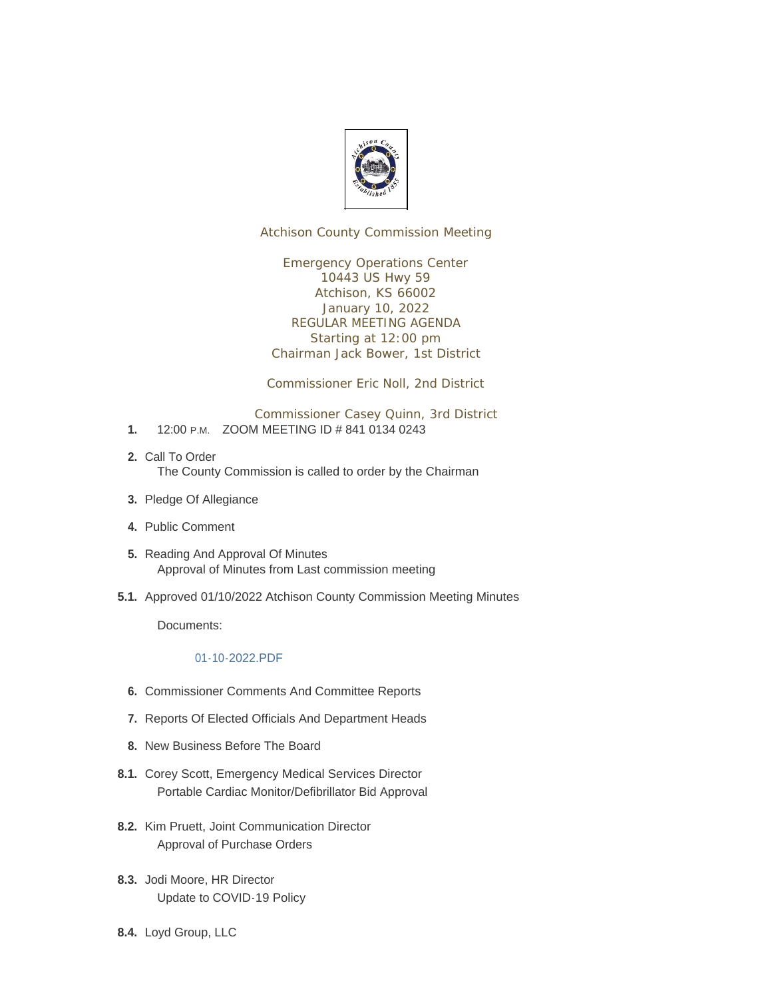

Atchison County Commission Meeting

Emergency Operations Center 10443 US Hwy 59 Atchison, KS 66002 January 10, 2022 REGULAR MEETING AGENDA Starting at 12:00 pm Chairman Jack Bower, 1st District

Commissioner Eric Noll, 2nd District

- Commissioner Casey Quinn, 3rd District 1. 12:00 P.M. ZOOM MEETING ID # 841 0134 0243
- 2. Call To Order The County Commission is called to order by the Chairman
- 3. Pledge Of Allegiance
- Public Comment **4.**
- 5. Reading And Approval Of Minutes Approval of Minutes from Last commission meeting
- 5.1. Approved 01/10/2022 Atchison County Commission Meeting Minutes

Documents:

#### 01-10-2022.PDF

- **6.** Commissioner Comments And Committee Reports
- 7. Reports Of Elected Officials And Department Heads
- 8. New Business Before The Board
- 8.1. Corey Scott, Emergency Medical Services Director Portable Cardiac Monitor/Defibrillator Bid Approval
- 8.2. Kim Pruett, Joint Communication Director Approval of Purchase Orders
- 8.3. Jodi Moore, HR Director Update to COVID-19 Policy
- 8.4. Loyd Group, LLC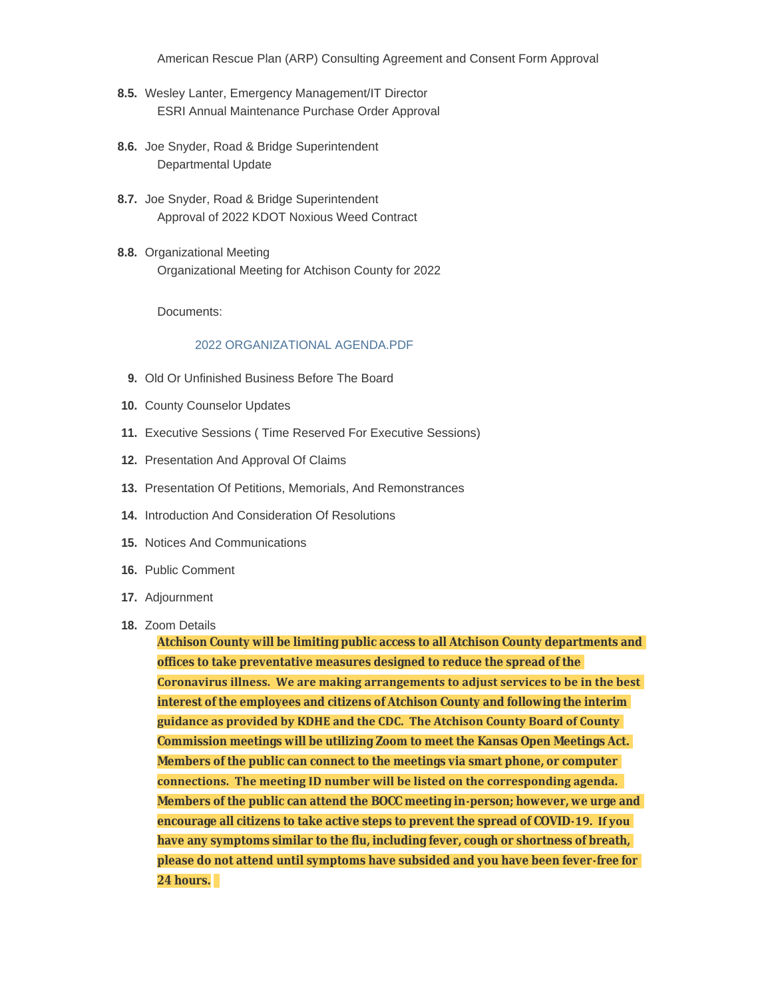American Rescue Plan (ARP) Consulting Agreement and Consent Form Approval

- 8.5. Wesley Lanter, Emergency Management/IT Director ESRI Annual Maintenance Purchase Order Approval
- 8.6. Joe Snyder, Road & Bridge Superintendent Departmental Update
- 8.7. Joe Snyder, Road & Bridge Superintendent Approval of 2022 KDOT Noxious Weed Contract
- 8.8. Organizational Meeting Organizational Meeting for Atchison County for 2022

Documents:

#### 2022 ORGANIZATIONAL AGENDA.PDF

- 9. Old Or Unfinished Business Before The Board
- 10. County Counselor Updates
- Executive Sessions ( Time Reserved For Executive Sessions) **11.**
- 12. Presentation And Approval Of Claims
- 13. Presentation Of Petitions, Memorials, And Remonstrances
- 14. Introduction And Consideration Of Resolutions
- 15. Notices And Communications
- 16. Public Comment
- 17. Adjournment
- 18. Zoom Details

**Atchison County will be limiting public access to all Atchison County departments and offices to take preventative measures designed to reduce the spread of the Coronavirus illness. We are making arrangements to adjust services to be in the best interest of the employees and citizens of Atchison County and following the interim guidance as provided by KDHE and the CDC. The Atchison County Board of County Commission meetings will be utilizing Zoom to meet the Kansas Open Meetings Act. Members of the public can connect to the meetings via smart phone, or computer connections. The meeting ID number will be listed on the corresponding agenda. Members of the public can attend the BOCC meeting in-person; however, we urge and encourage all citizens to take active steps to prevent the spread of COVID-19. If you have any symptoms similar to the flu, including fever, cough or shortness of breath, please do not attend until symptoms have subsided and you have been fever-free for 24 hours.**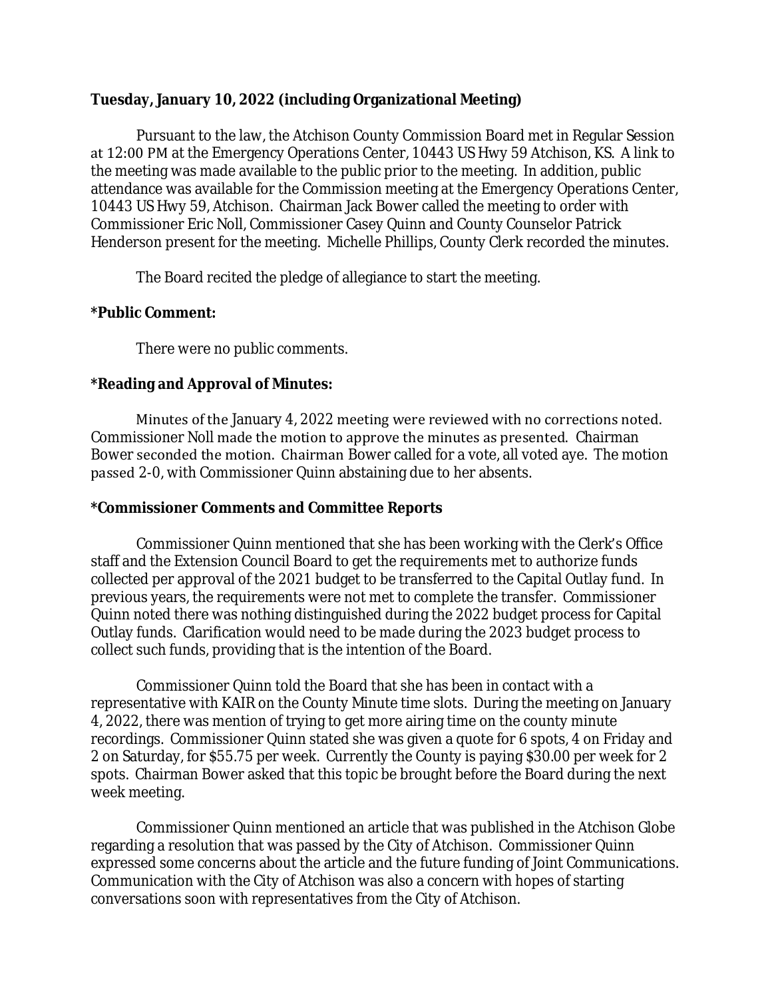## **Tuesday, January 10, 2022 (including Organizational Meeting)**

Pursuant to the law, the Atchison County Commission Board met in Regular Session at 12:00 PM at the Emergency Operations Center, 10443 US Hwy 59 Atchison, KS. A link to the meeting was made available to the public prior to the meeting. In addition, public attendance was available for the Commission meeting at the Emergency Operations Center, 10443 US Hwy 59, Atchison. Chairman Jack Bower called the meeting to order with Commissioner Eric Noll, Commissioner Casey Quinn and County Counselor Patrick Henderson present for the meeting. Michelle Phillips, County Clerk recorded the minutes.

The Board recited the pledge of allegiance to start the meeting.

### **\*Public Comment:**

There were no public comments.

## **\*Reading and Approval of Minutes:**

Minutes of the January 4, 2022 meeting were reviewed with no corrections noted. Commissioner Noll made the motion to approve the minutes as presented. Chairman Bower seconded the motion. Chairman Bower called for a vote, all voted aye. The motion passed 2-0, with Commissioner Quinn abstaining due to her absents.

#### **\*Commissioner Comments and Committee Reports**

Commissioner Quinn mentioned that she has been working with the Clerk's Office staff and the Extension Council Board to get the requirements met to authorize funds collected per approval of the 2021 budget to be transferred to the Capital Outlay fund. In previous years, the requirements were not met to complete the transfer. Commissioner Quinn noted there was nothing distinguished during the 2022 budget process for Capital Outlay funds. Clarification would need to be made during the 2023 budget process to collect such funds, providing that is the intention of the Board.

Commissioner Quinn told the Board that she has been in contact with a representative with KAIR on the County Minute time slots. During the meeting on January 4, 2022, there was mention of trying to get more airing time on the county minute recordings. Commissioner Quinn stated she was given a quote for 6 spots, 4 on Friday and 2 on Saturday, for \$55.75 per week. Currently the County is paying \$30.00 per week for 2 spots. Chairman Bower asked that this topic be brought before the Board during the next week meeting.

Commissioner Quinn mentioned an article that was published in the Atchison Globe regarding a resolution that was passed by the City of Atchison. Commissioner Quinn expressed some concerns about the article and the future funding of Joint Communications. Communication with the City of Atchison was also a concern with hopes of starting conversations soon with representatives from the City of Atchison.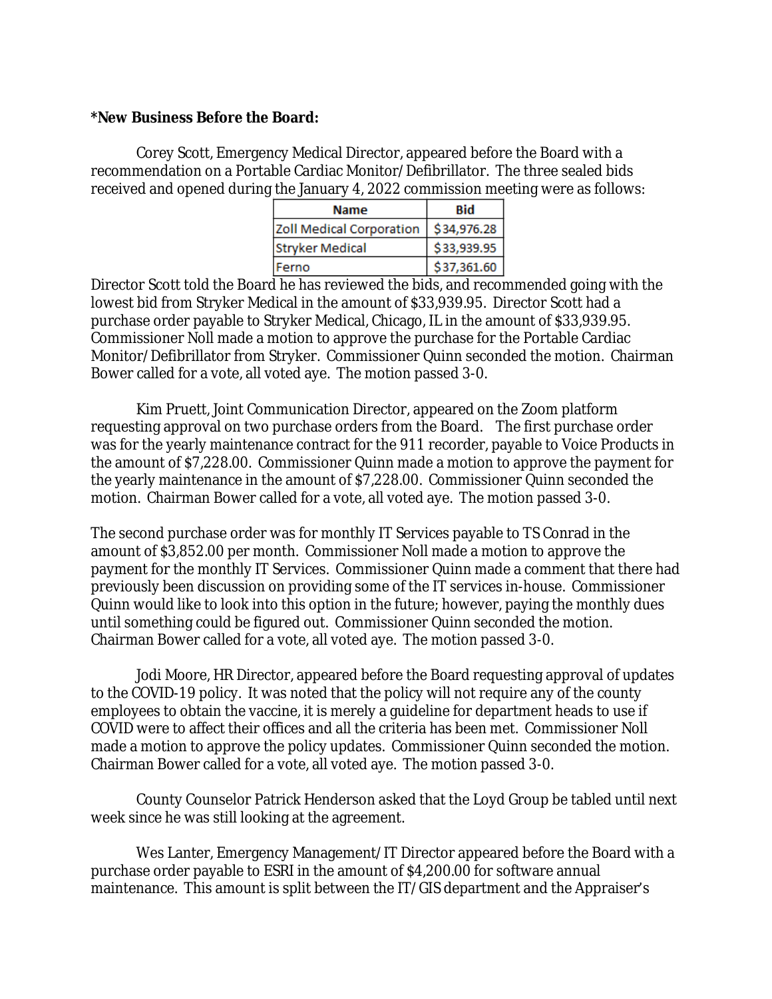### **\*New Business Before the Board:**

Corey Scott, Emergency Medical Director, appeared before the Board with a recommendation on a Portable Cardiac Monitor/Defibrillator. The three sealed bids received and opened during the January 4, 2022 commission meeting were as follows:

| Name                            | <b>Bid</b>  |
|---------------------------------|-------------|
| <b>Zoll Medical Corporation</b> | \$34,976.28 |
| <b>Stryker Medical</b>          | \$33,939.95 |
| Ferno                           | \$37,361.60 |

Director Scott told the Board he has reviewed the bids, and recommended going with the lowest bid from Stryker Medical in the amount of \$33,939.95. Director Scott had a purchase order payable to Stryker Medical, Chicago, IL in the amount of \$33,939.95. Commissioner Noll made a motion to approve the purchase for the Portable Cardiac Monitor/Defibrillator from Stryker. Commissioner Quinn seconded the motion. Chairman Bower called for a vote, all voted aye. The motion passed 3-0.

Kim Pruett, Joint Communication Director, appeared on the Zoom platform requesting approval on two purchase orders from the Board. The first purchase order was for the yearly maintenance contract for the 911 recorder, payable to Voice Products in the amount of \$7,228.00. Commissioner Quinn made a motion to approve the payment for the yearly maintenance in the amount of \$7,228.00. Commissioner Quinn seconded the motion. Chairman Bower called for a vote, all voted aye. The motion passed 3-0.

The second purchase order was for monthly IT Services payable to TS Conrad in the amount of \$3,852.00 per month. Commissioner Noll made a motion to approve the payment for the monthly IT Services. Commissioner Quinn made a comment that there had previously been discussion on providing some of the IT services in-house. Commissioner Quinn would like to look into this option in the future; however, paying the monthly dues until something could be figured out. Commissioner Quinn seconded the motion. Chairman Bower called for a vote, all voted aye. The motion passed 3-0.

Jodi Moore, HR Director, appeared before the Board requesting approval of updates to the COVID-19 policy. It was noted that the policy will not require any of the county employees to obtain the vaccine, it is merely a guideline for department heads to use if COVID were to affect their offices and all the criteria has been met. Commissioner Noll made a motion to approve the policy updates. Commissioner Quinn seconded the motion. Chairman Bower called for a vote, all voted aye. The motion passed 3-0.

County Counselor Patrick Henderson asked that the Loyd Group be tabled until next week since he was still looking at the agreement.

Wes Lanter, Emergency Management/IT Director appeared before the Board with a purchase order payable to ESRI in the amount of \$4,200.00 for software annual maintenance. This amount is split between the IT/GIS department and the Appraiser's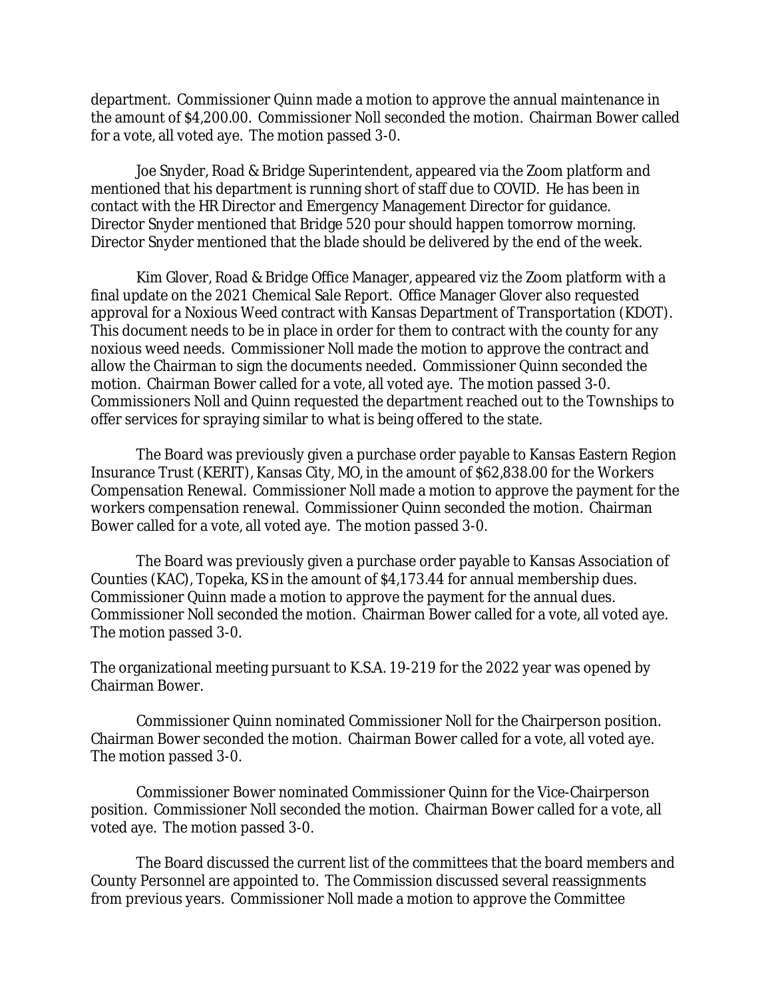department. Commissioner Quinn made a motion to approve the annual maintenance in the amount of \$4,200.00. Commissioner Noll seconded the motion. Chairman Bower called for a vote, all voted aye. The motion passed 3-0.

Joe Snyder, Road & Bridge Superintendent, appeared via the Zoom platform and mentioned that his department is running short of staff due to COVID. He has been in contact with the HR Director and Emergency Management Director for guidance. Director Snyder mentioned that Bridge 520 pour should happen tomorrow morning. Director Snyder mentioned that the blade should be delivered by the end of the week.

Kim Glover, Road & Bridge Office Manager, appeared viz the Zoom platform with a final update on the 2021 Chemical Sale Report. Office Manager Glover also requested approval for a Noxious Weed contract with Kansas Department of Transportation (KDOT). This document needs to be in place in order for them to contract with the county for any noxious weed needs. Commissioner Noll made the motion to approve the contract and allow the Chairman to sign the documents needed. Commissioner Quinn seconded the motion. Chairman Bower called for a vote, all voted aye. The motion passed 3-0. Commissioners Noll and Quinn requested the department reached out to the Townships to offer services for spraying similar to what is being offered to the state.

The Board was previously given a purchase order payable to Kansas Eastern Region Insurance Trust (KERIT), Kansas City, MO, in the amount of \$62,838.00 for the Workers Compensation Renewal. Commissioner Noll made a motion to approve the payment for the workers compensation renewal. Commissioner Quinn seconded the motion. Chairman Bower called for a vote, all voted aye. The motion passed 3-0.

The Board was previously given a purchase order payable to Kansas Association of Counties (KAC), Topeka, KS in the amount of \$4,173.44 for annual membership dues. Commissioner Quinn made a motion to approve the payment for the annual dues. Commissioner Noll seconded the motion. Chairman Bower called for a vote, all voted aye. The motion passed 3-0.

The organizational meeting pursuant to K.S.A. 19-219 for the 2022 year was opened by Chairman Bower.

Commissioner Quinn nominated Commissioner Noll for the Chairperson position. Chairman Bower seconded the motion. Chairman Bower called for a vote, all voted aye. The motion passed 3-0.

Commissioner Bower nominated Commissioner Quinn for the Vice-Chairperson position. Commissioner Noll seconded the motion. Chairman Bower called for a vote, all voted aye. The motion passed 3-0.

The Board discussed the current list of the committees that the board members and County Personnel are appointed to. The Commission discussed several reassignments from previous years. Commissioner Noll made a motion to approve the Committee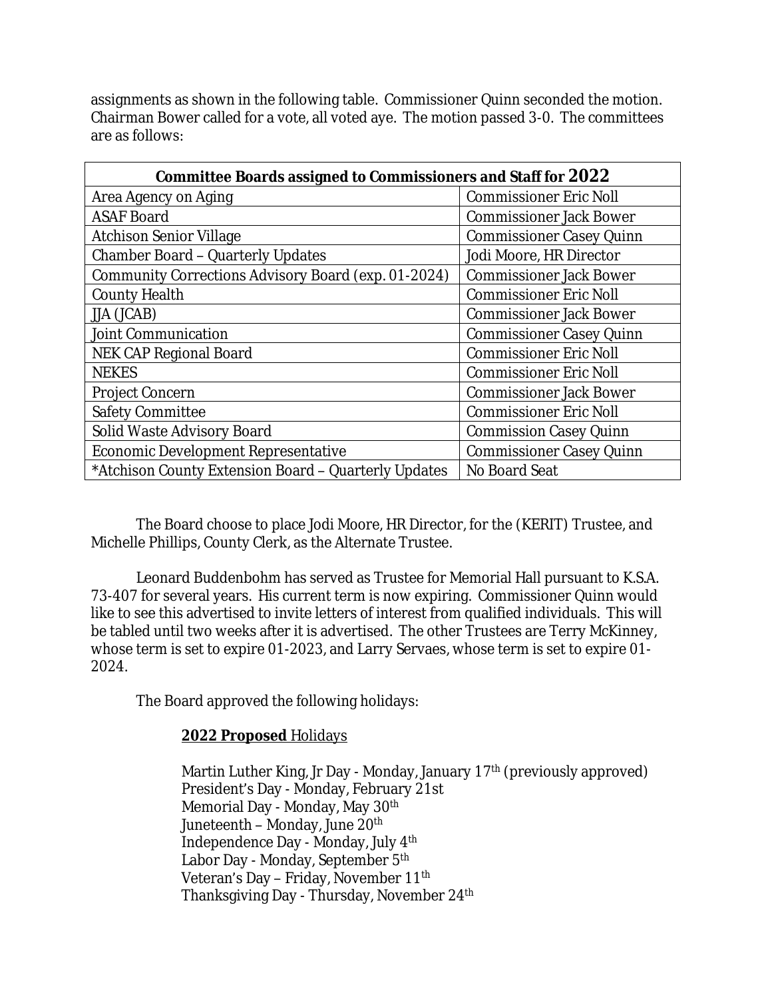assignments as shown in the following table. Commissioner Quinn seconded the motion. Chairman Bower called for a vote, all voted aye. The motion passed 3-0. The committees are as follows:

| <b>Committee Boards assigned to Commissioners and Staff for 2022</b> |                                 |
|----------------------------------------------------------------------|---------------------------------|
| Area Agency on Aging                                                 | <b>Commissioner Eric Noll</b>   |
| <b>ASAF Board</b>                                                    | <b>Commissioner Jack Bower</b>  |
| <b>Atchison Senior Village</b>                                       | <b>Commissioner Casey Quinn</b> |
| <b>Chamber Board - Quarterly Updates</b>                             | Jodi Moore, HR Director         |
| Community Corrections Advisory Board (exp. 01-2024)                  | <b>Commissioner Jack Bower</b>  |
| <b>County Health</b>                                                 | <b>Commissioner Eric Noll</b>   |
| JJA (JCAB)                                                           | <b>Commissioner Jack Bower</b>  |
| <b>Joint Communication</b>                                           | <b>Commissioner Casey Quinn</b> |
| <b>NEK CAP Regional Board</b>                                        | <b>Commissioner Eric Noll</b>   |
| <b>NEKES</b>                                                         | <b>Commissioner Eric Noll</b>   |
| <b>Project Concern</b>                                               | <b>Commissioner Jack Bower</b>  |
| <b>Safety Committee</b>                                              | <b>Commissioner Eric Noll</b>   |
| Solid Waste Advisory Board                                           | <b>Commission Casey Quinn</b>   |
| <b>Economic Development Representative</b>                           | <b>Commissioner Casey Quinn</b> |
| *Atchison County Extension Board - Quarterly Updates                 | No Board Seat                   |

The Board choose to place Jodi Moore, HR Director, for the (KERIT) Trustee, and Michelle Phillips, County Clerk, as the Alternate Trustee.

Leonard Buddenbohm has served as Trustee for Memorial Hall pursuant to K.S.A. 73-407 for several years. His current term is now expiring. Commissioner Quinn would like to see this advertised to invite letters of interest from qualified individuals. This will be tabled until two weeks after it is advertised. The other Trustees are Terry McKinney, whose term is set to expire 01-2023, and Larry Servaes, whose term is set to expire 01- 2024.

The Board approved the following holidays:

## **2022 Proposed** Holidays

Martin Luther King, Jr Day - Monday, January 17<sup>th</sup> (previously approved) President's Day - Monday, February 21st Memorial Day - Monday, May 30<sup>th</sup> Juneteenth – Monday, June 20<sup>th</sup> Independence Day - Monday, July 4th Labor Day - Monday, September 5<sup>th</sup> Veteran's Day – Friday, November 11th Thanksgiving Day - Thursday, November 24th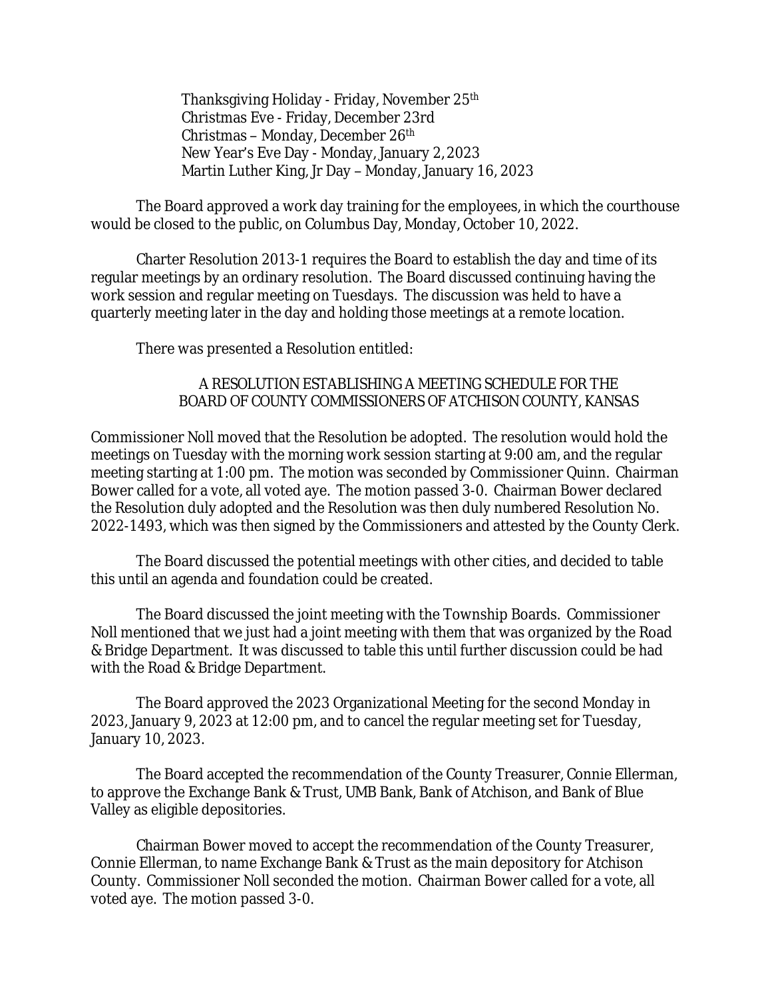Thanksgiving Holiday - Friday, November 25th Christmas Eve - Friday, December 23rd Christmas – Monday, December 26th New Year's Eve Day - Monday, January 2, 2023 Martin Luther King, Jr Day – Monday, January 16, 2023

The Board approved a work day training for the employees, in which the courthouse would be closed to the public, on Columbus Day, Monday, October 10, 2022.

Charter Resolution 2013-1 requires the Board to establish the day and time of its regular meetings by an ordinary resolution. The Board discussed continuing having the work session and regular meeting on Tuesdays. The discussion was held to have a quarterly meeting later in the day and holding those meetings at a remote location.

There was presented a Resolution entitled:

## A RESOLUTION ESTABLISHING A MEETING SCHEDULE FOR THE BOARD OF COUNTY COMMISSIONERS OF ATCHISON COUNTY, KANSAS

Commissioner Noll moved that the Resolution be adopted. The resolution would hold the meetings on Tuesday with the morning work session starting at 9:00 am, and the regular meeting starting at 1:00 pm. The motion was seconded by Commissioner Quinn. Chairman Bower called for a vote, all voted aye. The motion passed 3-0. Chairman Bower declared the Resolution duly adopted and the Resolution was then duly numbered Resolution No. 2022-1493, which was then signed by the Commissioners and attested by the County Clerk.

The Board discussed the potential meetings with other cities, and decided to table this until an agenda and foundation could be created.

The Board discussed the joint meeting with the Township Boards. Commissioner Noll mentioned that we just had a joint meeting with them that was organized by the Road & Bridge Department. It was discussed to table this until further discussion could be had with the Road & Bridge Department.

The Board approved the 2023 Organizational Meeting for the second Monday in 2023, January 9, 2023 at 12:00 pm, and to cancel the regular meeting set for Tuesday, January 10, 2023.

The Board accepted the recommendation of the County Treasurer, Connie Ellerman, to approve the Exchange Bank & Trust, UMB Bank, Bank of Atchison, and Bank of Blue Valley as eligible depositories.

Chairman Bower moved to accept the recommendation of the County Treasurer, Connie Ellerman, to name Exchange Bank & Trust as the main depository for Atchison County. Commissioner Noll seconded the motion. Chairman Bower called for a vote, all voted aye. The motion passed 3-0.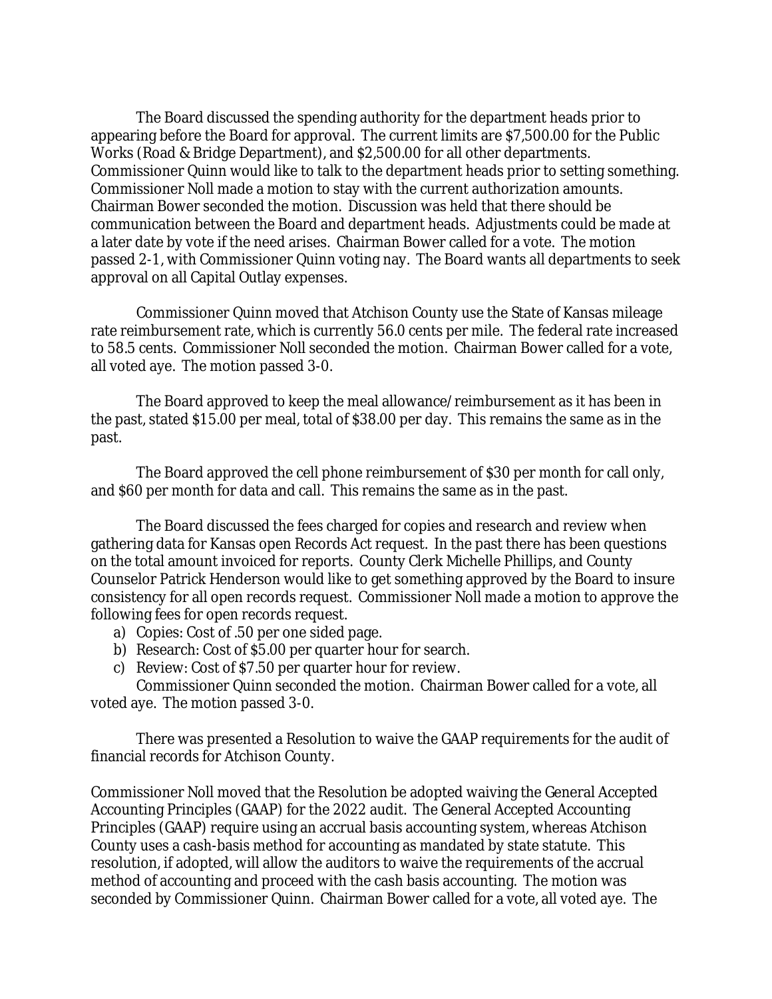The Board discussed the spending authority for the department heads prior to appearing before the Board for approval. The current limits are \$7,500.00 for the Public Works (Road & Bridge Department), and \$2,500.00 for all other departments. Commissioner Quinn would like to talk to the department heads prior to setting something. Commissioner Noll made a motion to stay with the current authorization amounts. Chairman Bower seconded the motion. Discussion was held that there should be communication between the Board and department heads. Adjustments could be made at a later date by vote if the need arises. Chairman Bower called for a vote. The motion passed 2-1, with Commissioner Quinn voting nay. The Board wants all departments to seek approval on all Capital Outlay expenses.

Commissioner Quinn moved that Atchison County use the State of Kansas mileage rate reimbursement rate, which is currently 56.0 cents per mile. The federal rate increased to 58.5 cents. Commissioner Noll seconded the motion. Chairman Bower called for a vote, all voted aye. The motion passed 3-0.

The Board approved to keep the meal allowance/reimbursement as it has been in the past, stated \$15.00 per meal, total of \$38.00 per day. This remains the same as in the past.

The Board approved the cell phone reimbursement of \$30 per month for call only, and \$60 per month for data and call. This remains the same as in the past.

The Board discussed the fees charged for copies and research and review when gathering data for Kansas open Records Act request. In the past there has been questions on the total amount invoiced for reports. County Clerk Michelle Phillips, and County Counselor Patrick Henderson would like to get something approved by the Board to insure consistency for all open records request. Commissioner Noll made a motion to approve the following fees for open records request.

- a) Copies: Cost of .50 per one sided page.
- b) Research: Cost of \$5.00 per quarter hour for search.
- c) Review: Cost of \$7.50 per quarter hour for review.

Commissioner Quinn seconded the motion. Chairman Bower called for a vote, all voted aye. The motion passed 3-0.

There was presented a Resolution to waive the GAAP requirements for the audit of financial records for Atchison County.

Commissioner Noll moved that the Resolution be adopted waiving the General Accepted Accounting Principles (GAAP) for the 2022 audit. The General Accepted Accounting Principles (GAAP) require using an accrual basis accounting system, whereas Atchison County uses a cash-basis method for accounting as mandated by state statute. This resolution, if adopted, will allow the auditors to waive the requirements of the accrual method of accounting and proceed with the cash basis accounting. The motion was seconded by Commissioner Quinn. Chairman Bower called for a vote, all voted aye. The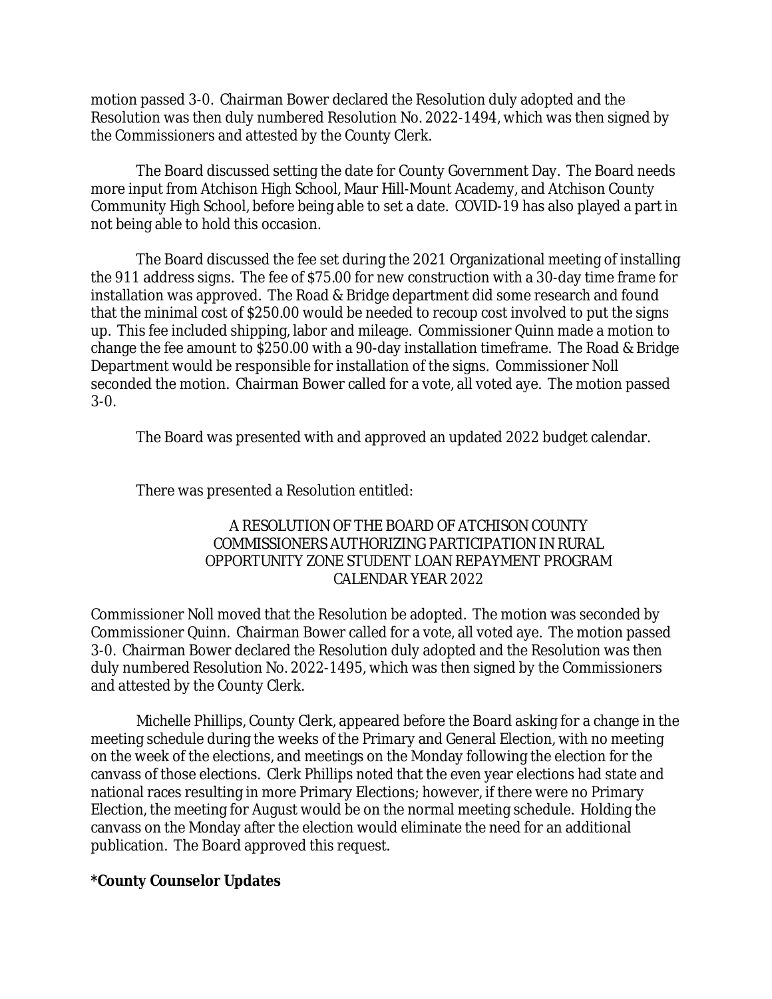motion passed 3-0. Chairman Bower declared the Resolution duly adopted and the Resolution was then duly numbered Resolution No. 2022-1494, which was then signed by the Commissioners and attested by the County Clerk.

The Board discussed setting the date for County Government Day. The Board needs more input from Atchison High School, Maur Hill-Mount Academy, and Atchison County Community High School, before being able to set a date. COVID-19 has also played a part in not being able to hold this occasion.

The Board discussed the fee set during the 2021 Organizational meeting of installing the 911 address signs. The fee of \$75.00 for new construction with a 30-day time frame for installation was approved. The Road & Bridge department did some research and found that the minimal cost of \$250.00 would be needed to recoup cost involved to put the signs up. This fee included shipping, labor and mileage. Commissioner Quinn made a motion to change the fee amount to \$250.00 with a 90-day installation timeframe. The Road & Bridge Department would be responsible for installation of the signs. Commissioner Noll seconded the motion. Chairman Bower called for a vote, all voted aye. The motion passed 3-0.

The Board was presented with and approved an updated 2022 budget calendar.

There was presented a Resolution entitled:

## A RESOLUTION OF THE BOARD OF ATCHISON COUNTY COMMISSIONERS AUTHORIZING PARTICIPATION IN RURAL OPPORTUNITY ZONE STUDENT LOAN REPAYMENT PROGRAM CALENDAR YEAR 2022

Commissioner Noll moved that the Resolution be adopted. The motion was seconded by Commissioner Quinn. Chairman Bower called for a vote, all voted aye. The motion passed 3-0. Chairman Bower declared the Resolution duly adopted and the Resolution was then duly numbered Resolution No. 2022-1495, which was then signed by the Commissioners and attested by the County Clerk.

Michelle Phillips, County Clerk, appeared before the Board asking for a change in the meeting schedule during the weeks of the Primary and General Election, with no meeting on the week of the elections, and meetings on the Monday following the election for the canvass of those elections. Clerk Phillips noted that the even year elections had state and national races resulting in more Primary Elections; however, if there were no Primary Election, the meeting for August would be on the normal meeting schedule. Holding the canvass on the Monday after the election would eliminate the need for an additional publication. The Board approved this request.

## **\*County Counselor Updates**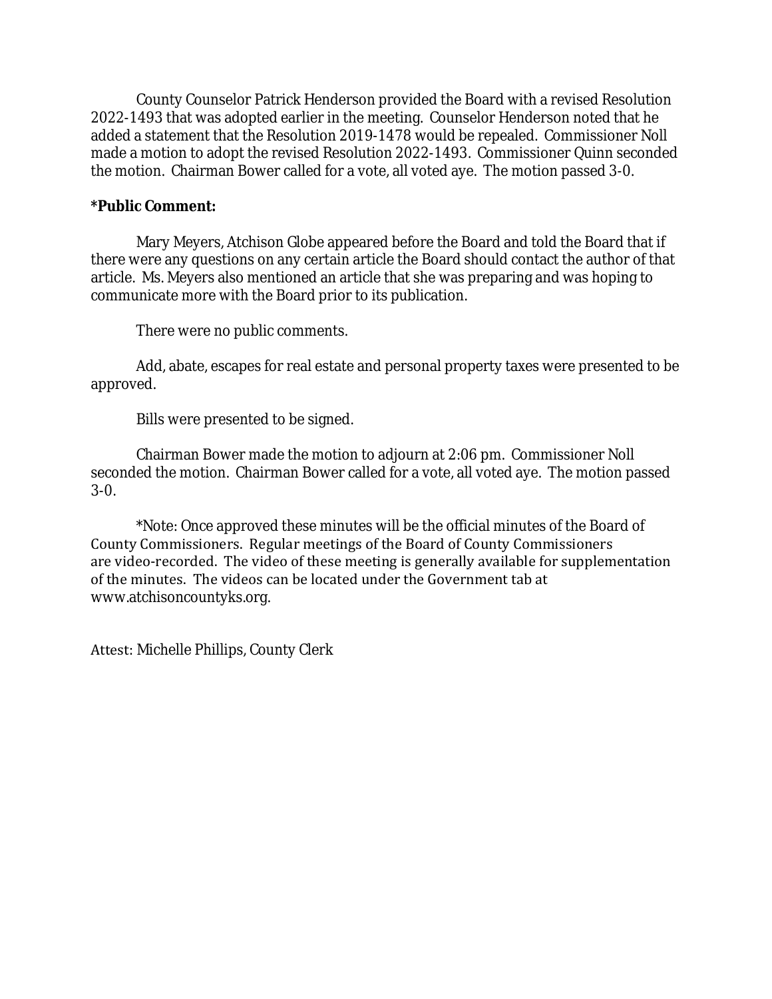County Counselor Patrick Henderson provided the Board with a revised Resolution 2022-1493 that was adopted earlier in the meeting. Counselor Henderson noted that he added a statement that the Resolution 2019-1478 would be repealed. Commissioner Noll made a motion to adopt the revised Resolution 2022-1493. Commissioner Quinn seconded the motion. Chairman Bower called for a vote, all voted aye. The motion passed 3-0.

## **\*Public Comment:**

Mary Meyers, Atchison Globe appeared before the Board and told the Board that if there were any questions on any certain article the Board should contact the author of that article. Ms. Meyers also mentioned an article that she was preparing and was hoping to communicate more with the Board prior to its publication.

There were no public comments.

Add, abate, escapes for real estate and personal property taxes were presented to be approved.

Bills were presented to be signed.

Chairman Bower made the motion to adjourn at 2:06 pm. Commissioner Noll seconded the motion. Chairman Bower called for a vote, all voted aye. The motion passed 3-0.

\*Note: Once approved these minutes will be the official minutes of the Board of County Commissioners. Regular meetings of the Board of County Commissioners are video-recorded. The video of these meeting is generally available for supplementation of the minutes. The videos can be located under the Government tab at www.atchisoncountyks.org.

Attest: Michelle Phillips, County Clerk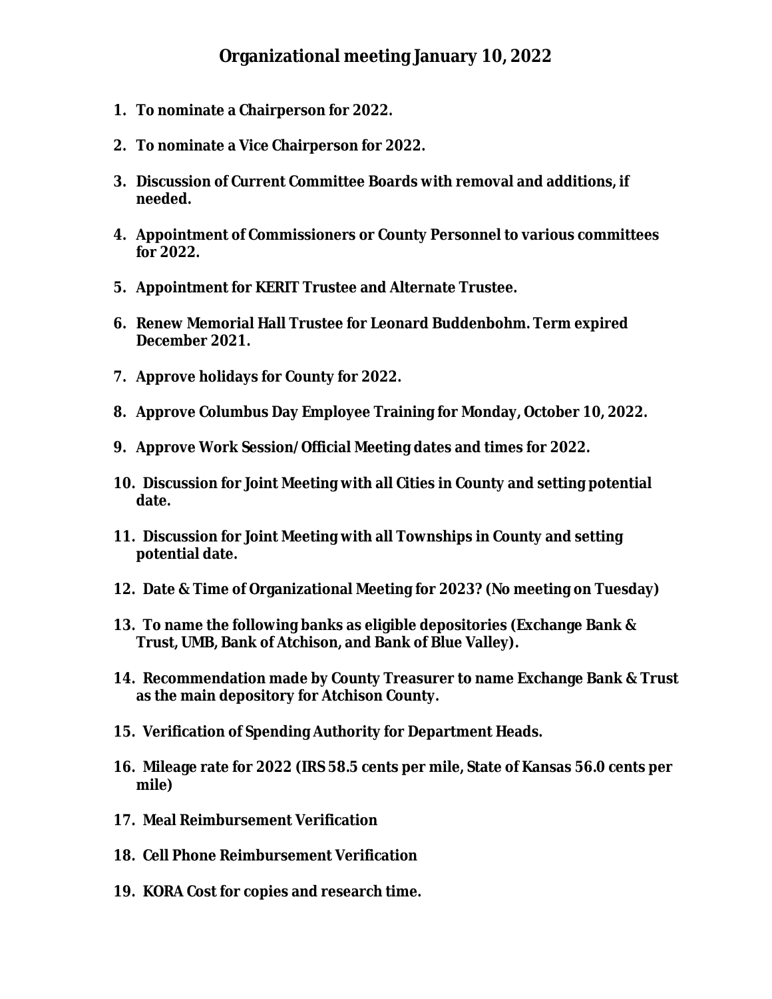- **1. To nominate a Chairperson for 2022.**
- **2. To nominate a Vice Chairperson for 2022.**
- **3. Discussion of Current Committee Boards with removal and additions, if needed.**
- **4. Appointment of Commissioners or County Personnel to various committees for 2022.**
- **5. Appointment for KERIT Trustee and Alternate Trustee.**
- **6. Renew Memorial Hall Trustee for Leonard Buddenbohm. Term expired December 2021.**
- **7. Approve holidays for County for 2022.**
- **8. Approve Columbus Day Employee Training for Monday, October 10, 2022.**
- **9. Approve Work Session/Official Meeting dates and times for 2022.**
- **10. Discussion for Joint Meeting with all Cities in County and setting potential date.**
- **11. Discussion for Joint Meeting with all Townships in County and setting potential date.**
- **12. Date & Time of Organizational Meeting for 2023? (No meeting on Tuesday)**
- **13. To name the following banks as eligible depositories (Exchange Bank & Trust, UMB, Bank of Atchison, and Bank of Blue Valley).**
- **14. Recommendation made by County Treasurer to name Exchange Bank & Trust as the main depository for Atchison County.**
- **15. Verification of Spending Authority for Department Heads.**
- **16. Mileage rate for 2022 (IRS 58.5 cents per mile, State of Kansas 56.0 cents per mile)**
- **17. Meal Reimbursement Verification**
- **18. Cell Phone Reimbursement Verification**
- **19. KORA Cost for copies and research time.**